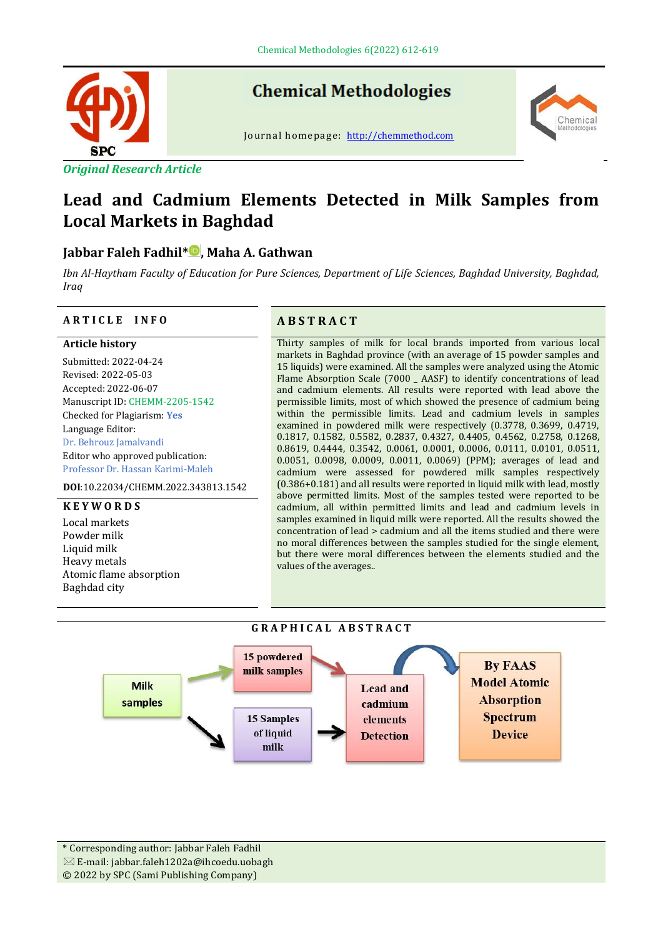

*Original Research Article*

# **Chemical Methodologies**

Journal homepage: [http://chemmethod.com](http://chemmethod.com/)



# **Lead and Cadmium Elements Detected in Milk Samples from Local Markets in Baghdad**

# **Jabbar Faleh Fadhil\* , Maha A. Gathwan**

*Ibn Al-Haytham Faculty of Education for Pure Sciences, Department of Life Sciences, Baghdad University, Baghdad, Iraq*

#### **A R T I C L E I N F O A B S T R A C T**

#### **Article history**

Submitted: 2022-04-24 Revised: 2022-05-03 Accepted: 2022-06-07 Manuscript ID: CHEMM-2205-1542 Checked for Plagiarism: **Yes** Language Editor: Dr. Behrouz Jamalvandi Editor who approved publication: Professor Dr. Hassan Karimi-Maleh

**DOI**:10.22034/CHEMM.2022.343813.1542

#### **K E Y W O R D S**

Local markets Powder milk Liquid milk Heavy metals Atomic flame absorption Baghdad city

Thirty samples of milk for local brands imported from various local markets in Baghdad province (with an average of 15 powder samples and 15 liquids) were examined. All the samples were analyzed using the Atomic Flame Absorption Scale (7000 \_ AASF) to identify concentrations of lead and cadmium elements. All results were reported with lead above the permissible limits, most of which showed the presence of cadmium being within the permissible limits. Lead and cadmium levels in samples examined in powdered milk were respectively (0.3778, 0.3699, 0.4719, 0.1817, 0.1582, 0.5582, 0.2837, 0.4327, 0.4405, 0.4562, 0.2758, 0.1268, 0.8619, 0.4444, 0.3542, 0.0061, 0.0001, 0.0006, 0.0111, 0.0101, 0.0511, 0.0051, 0.0098, 0.0009, 0.0011, 0.0069) (PPM); averages of lead and cadmium were assessed for powdered milk samples respectively (0.386+0.181) and all results were reported in liquid milk with lead, mostly above permitted limits. Most of the samples tested were reported to be cadmium, all within permitted limits and lead and cadmium levels in samples examined in liquid milk were reported. All the results showed the concentration of lead > cadmium and all the items studied and there were no moral differences between the samples studied for the single element, but there were moral differences between the elements studied and the values of the averages..





\* Corresponding author: Jabbar Faleh Fadhil  $\boxtimes$  E-mail: jabbar.faleh1202a@ihcoedu.uobagh © 2022 by SPC (Sami Publishing Company)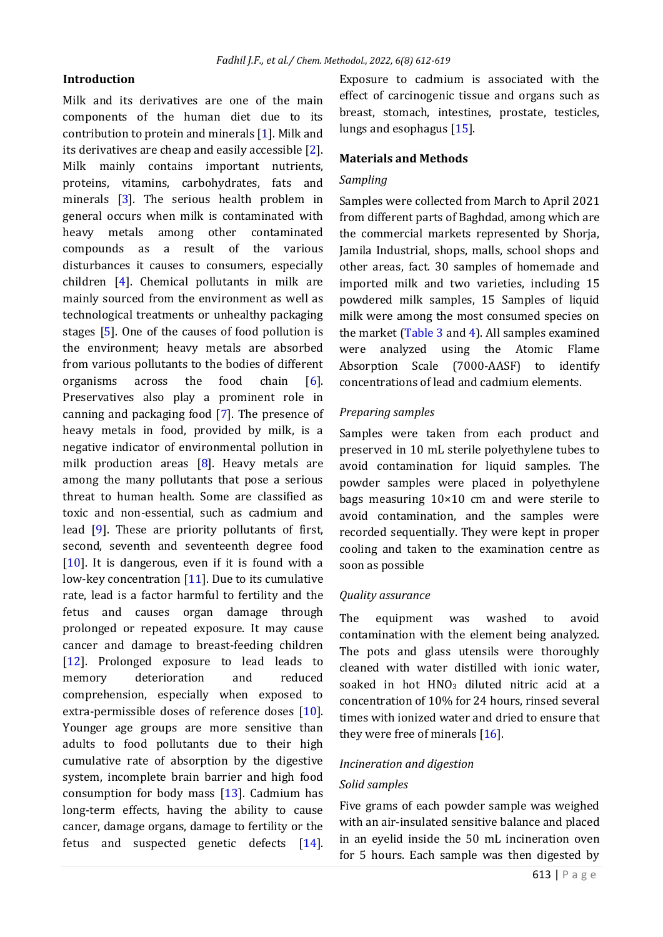# **Introduction**

Milk and its derivatives are one of the main components of the human diet due to its contribution to protein and minerals [\[1\]](#page-1-0). Milk and its derivatives are cheap and easily accessible [\[2\]](#page-5-0). Milk mainly contains important nutrients, proteins, vitamins, carbohydrates, fats and minerals [\[3\]](#page-5-1). The serious health problem in general occurs when milk is contaminated with heavy metals among other contaminated compounds as a result of the various disturbances it causes to consumers, especially children [\[4\]](#page-5-2). Chemical pollutants in milk are mainly sourced from the environment as well as technological treatments or unhealthy packaging stages [\[5\]](#page-5-3). One of the causes of food pollution is the environment; heavy metals are absorbed from various pollutants to the bodies of different organisms across the food chain [\[6\]](#page-6-0). Preservatives also play a prominent role in canning and packaging food [\[7\]](#page-6-1). The presence of heavy metals in food, provided by milk, is a negative indicator of environmental pollution in milk production areas [\[8\]](#page-6-2). Heavy metals are among the many pollutants that pose a serious threat to human health. Some are classified as toxic and non-essential, such as cadmium and lead [\[9\]](#page-6-3). These are priority pollutants of first, second, seventh and seventeenth degree food  $[10]$ . It is dangerous, even if it is found with a low-key concentration [\[11\]](#page-6-5). Due to its cumulative rate, lead is a factor harmful to fertility and the fetus and causes organ damage through prolonged or repeated exposure. It may cause cancer and damage to breast-feeding children [\[12\]](#page-6-6). Prolonged exposure to lead leads to memory deterioration and reduced comprehension, especially when exposed to extra-permissible doses of reference doses [\[10\]](#page-6-4). Younger age groups are more sensitive than adults to food pollutants due to their high cumulative rate of absorption by the digestive system, incomplete brain barrier and high food consumption for body mass [\[13\]](#page-6-7). Cadmium has long-term effects, having the ability to cause cancer, damage organs, damage to fertility or the fetus and suspected genetic defects [\[14\]](#page-6-8).

Exposure to cadmium is associated with the effect of carcinogenic tissue and organs such as breast, stomach, intestines, prostate, testicles, lungs and esophagus [\[15\]](#page-6-9).

#### <span id="page-1-0"></span>**Materials and Methods**

#### *Sampling*

Samples were collected from March to April 2021 from different parts of Baghdad, among which are the commercial markets represented by Shorja, Jamila Industrial, shops, malls, school shops and other areas, fact. 30 samples of homemade and imported milk and two varieties, including 15 powdered milk samples, 15 Samples of liquid milk were among the most consumed species on the market [\(Table 3](#page-2-0) and [4\)](#page-3-0). All samples examined were analyzed using the Atomic Flame Absorption Scale (7000-AASF) to identify concentrations of lead and cadmium elements.

#### *Preparing samples*

Samples were taken from each product and preserved in 10 mL sterile polyethylene tubes to avoid contamination for liquid samples. The powder samples were placed in polyethylene bags measuring 10×10 cm and were sterile to avoid contamination, and the samples were recorded sequentially. They were kept in proper cooling and taken to the examination centre as soon as possible

#### *Quality assurance*

The equipment was washed to avoid contamination with the element being analyzed. The pots and glass utensils were thoroughly cleaned with water distilled with ionic water, soaked in hot  $HNO<sub>3</sub>$  diluted nitric acid at a concentration of 10% for 24 hours, rinsed several times with ionized water and dried to ensure that they were free of minerals [\[16\]](#page-6-10).

#### *Incineration and digestion*

#### *Solid samples*

Five grams of each powder sample was weighed with an air-insulated sensitive balance and placed in an eyelid inside the 50 mL incineration oven for 5 hours. Each sample was then digested by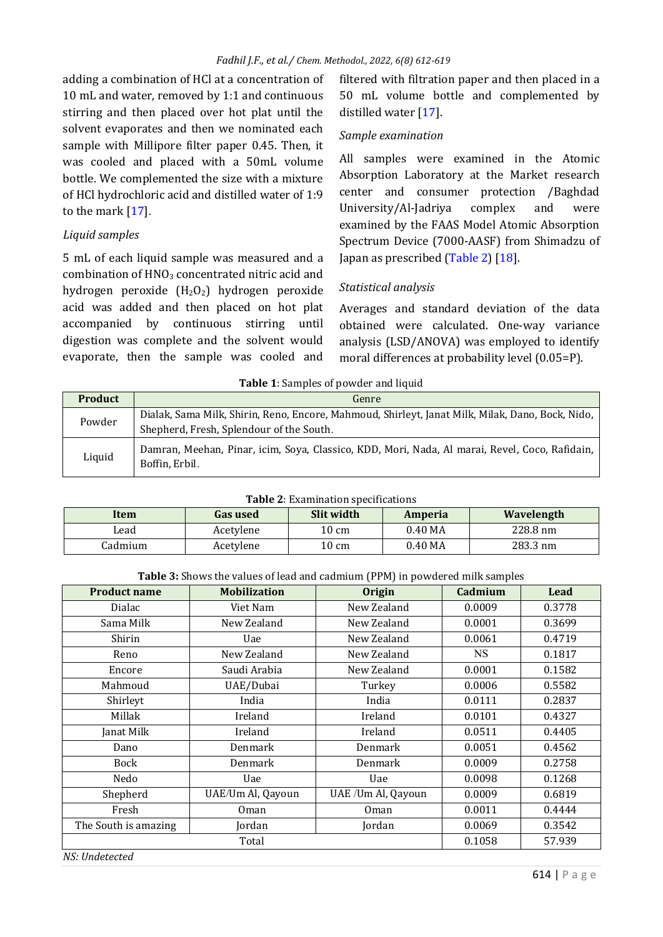adding a combination of HCl at a concentration of 10 mL and water, removed by 1:1 and continuous stirring and then placed over hot plat until the solvent evaporates and then we nominated each sample with Millipore filter paper 0.45. Then, it was cooled and placed with a 50mL volume bottle. We complemented the size with a mixture of HCl hydrochloric acid and distilled water of 1:9 to the mark [\[17\]](#page-6-11).

## *Liquid samples*

5 mL of each liquid sample was measured and a combination of HNO<sub>3</sub> concentrated nitric acid and hydrogen peroxide (H2O2) hydrogen peroxide acid was added and then placed on hot plat accompanied by continuous stirring until digestion was complete and the solvent would evaporate, then the sample was cooled and filtered with filtration paper and then placed in a 50 mL volume bottle and complemented by distilled water [\[17\]](#page-6-11).

## *Sample examination*

All samples were examined in the Atomic Absorption Laboratory at the Market research center and consumer protection /Baghdad University/Al-Jadriya complex and were examined by the FAAS Model Atomic Absorption Spectrum Device (7000-AASF) from Shimadzu of Japan as prescribed [\(Table 2\)](#page-2-1) [\[18\]](#page-6-12).

# *Statistical analysis*

Averages and standard deviation of the data obtained were calculated. One-way variance analysis (LSD/ANOVA) was employed to identify moral differences at probability level (0.05=P).

| <b>rapic 1.</b> Samples of powder and hydra |                                                                                                                                              |  |  |  |
|---------------------------------------------|----------------------------------------------------------------------------------------------------------------------------------------------|--|--|--|
| <b>Product</b>                              | Genre                                                                                                                                        |  |  |  |
| Powder                                      | Dialak, Sama Milk, Shirin, Reno, Encore, Mahmoud, Shirleyt, Janat Milk, Milak, Dano, Bock, Nido,<br>Shepherd, Fresh, Splendour of the South. |  |  |  |
| Liquid                                      | Damran, Meehan, Pinar, icim, Soya, Classico, KDD, Mori, Nada, Al marai, Revel, Coco, Rafidain,<br>Boffin, Erbil.                             |  |  |  |

| Table 1: Samples of powder and liquid |
|---------------------------------------|
|---------------------------------------|

<span id="page-2-1"></span>

| <b>Table 2:</b> Examination specifications |                 |                 |           |            |  |
|--------------------------------------------|-----------------|-----------------|-----------|------------|--|
| Item                                       | <b>Gas used</b> | Slit width      | Amperia   | Wavelength |  |
| Lead                                       | Acetylene       | 10 cm           | $0.40$ MA | 228.8 nm   |  |
| Cadmium                                    | Acetylene       | $10 \text{ cm}$ | $0.40$ MA | 283.3 nm   |  |

<span id="page-2-0"></span>

| <b>Product name</b>         | <b>Mobilization</b>     | <b>Origin</b>      | Cadmium | Lead   |  |
|-----------------------------|-------------------------|--------------------|---------|--------|--|
| Dialac                      | New Zealand<br>Viet Nam |                    | 0.0009  | 0.3778 |  |
| Sama Milk                   | New Zealand             | New Zealand        | 0.0001  | 0.3699 |  |
| Shirin                      | Uae                     | New Zealand        | 0.0061  | 0.4719 |  |
| Reno                        | New Zealand             | New Zealand        | NS      | 0.1817 |  |
| Encore                      | Saudi Arabia            | New Zealand        | 0.0001  | 0.1582 |  |
| Mahmoud                     | UAE/Dubai               | Turkey             | 0.0006  | 0.5582 |  |
| Shirleyt                    | India                   | India              | 0.0111  | 0.2837 |  |
| Millak                      | Ireland                 | Ireland            | 0.0101  | 0.4327 |  |
| Janat Milk                  | Ireland                 | Ireland            | 0.0511  | 0.4405 |  |
| Dano                        | Denmark                 | Denmark            | 0.0051  | 0.4562 |  |
| Bock                        | Denmark                 | Denmark            | 0.0009  | 0.2758 |  |
| Nedo                        | Uae                     | Uae                | 0.0098  | 0.1268 |  |
| Shepherd                    | UAE/Um Al, Qayoun       | UAE /Um Al, Qayoun | 0.0009  | 0.6819 |  |
| Fresh                       | Oman                    | <b>Oman</b>        | 0.0011  | 0.4444 |  |
| The South is amazing        | Jordan                  | Jordan             | 0.0069  | 0.3542 |  |
|                             | 0.1058                  | 57.939             |         |        |  |
| $MC.$ $H_{\alpha}$ datasted |                         |                    |         |        |  |

*NS: Undetected*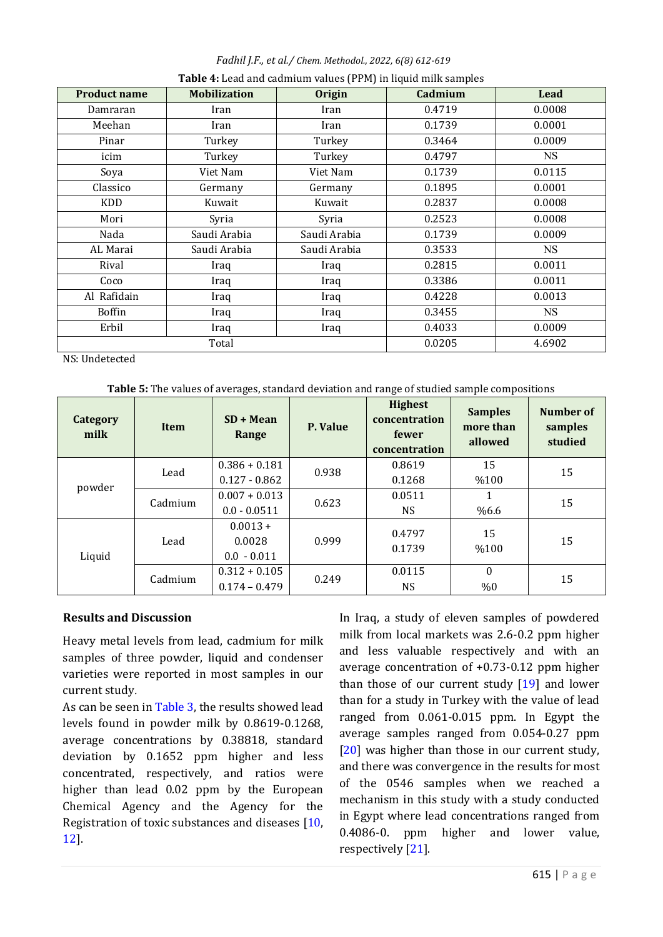*Fadhil J.F., et al./ Chem. Methodol., 2022, 6(8) 612-619* **Table 4:** Lead and cadmium values (PPM) in liquid milk samples

<span id="page-3-0"></span>

| <b>Product name</b> | <b>Mobilization</b> | <b>Origin</b> | Cadmium | Lead      |
|---------------------|---------------------|---------------|---------|-----------|
| Damraran            | Iran                | Iran          | 0.4719  | 0.0008    |
| Meehan              | Iran                | Iran          | 0.1739  | 0.0001    |
| Pinar               | Turkey              | Turkey        | 0.3464  | 0.0009    |
| icim                | Turkey              | Turkey        | 0.4797  | <b>NS</b> |
| Soya                | Viet Nam            | Viet Nam      | 0.1739  | 0.0115    |
| Classico            | Germany             | Germany       | 0.1895  | 0.0001    |
| KDD                 | Kuwait              | Kuwait        | 0.2837  | 0.0008    |
| Mori                | Syria               | Syria         | 0.2523  | 0.0008    |
| Nada                | Saudi Arabia        | Saudi Arabia  | 0.1739  | 0.0009    |
| AL Marai            | Saudi Arabia        | Saudi Arabia  | 0.3533  | NS.       |
| Rival               | Iraq                | Iraq          | 0.2815  | 0.0011    |
| Coco                | Iraq                | Iraq          | 0.3386  | 0.0011    |
| Al Rafidain         | Iraq                | Iraq          | 0.4228  | 0.0013    |
| <b>Boffin</b>       | Iraq                | Iraq          | 0.3455  | NS        |
| Erbil               | Iraq                | Iraq          | 0.4033  | 0.0009    |
|                     | Total               | 0.0205        | 4.6902  |           |

NS: Undetected

<span id="page-3-1"></span>

| Category<br>milk | Item    | $SD + Mean$<br>Range                  | P. Value | <b>Highest</b><br>concentration<br>fewer<br>concentration | <b>Samples</b><br>more than<br>allowed | Number of<br>samples<br>studied |
|------------------|---------|---------------------------------------|----------|-----------------------------------------------------------|----------------------------------------|---------------------------------|
| powder           | Lead    | $0.386 + 0.181$                       | 0.938    | 0.8619                                                    | 15                                     | 15                              |
|                  |         | $0.127 - 0.862$                       |          | 0.1268                                                    | %100                                   |                                 |
|                  | Cadmium | $0.007 + 0.013$                       | 0.623    | 0.0511                                                    |                                        | 15                              |
|                  |         | $0.0 - 0.0511$                        |          | <b>NS</b>                                                 | %6.6                                   |                                 |
| Liquid           | Lead    | $0.0013 +$<br>0.0028<br>$0.0 - 0.011$ | 0.999    | 0.4797<br>0.1739                                          | 15<br>%100                             | 15                              |
|                  | Cadmium | $0.312 + 0.105$                       | 0.249    | 0.0115                                                    | $\theta$                               | 15                              |
|                  |         | $0.174 - 0.479$                       |          | NS.                                                       | %0                                     |                                 |

# **Results and Discussion**

Heavy metal levels from lead, cadmium for milk samples of three powder, liquid and condenser varieties were reported in most samples in our current study.

As can be seen i[n Table 3,](#page-2-0) the results showed lead levels found in powder milk by 0.8619-0.1268, average concentrations by 0.38818, standard deviation by 0.1652 ppm higher and less concentrated, respectively, and ratios were higher than lead 0.02 ppm by the European Chemical Agency and the Agency for the Registration of toxic substances and diseases [\[10,](#page-6-4) [12\]](#page-6-6).

In Iraq, a study of eleven samples of powdered milk from local markets was 2.6-0.2 ppm higher and less valuable respectively and with an average concentration of +0.73-0.12 ppm higher than those of our current study [\[19\]](#page-6-13) and lower than for a study in Turkey with the value of lead ranged from 0.061-0.015 ppm. In Egypt the average samples ranged from 0.054-0.27 ppm [\[20\]](#page-7-0) was higher than those in our current study, and there was convergence in the results for most of the 0546 samples when we reached a mechanism in this study with a study conducted in Egypt where lead concentrations ranged from 0.4086-0. ppm higher and lower value, respectively [\[21\]](#page-7-1).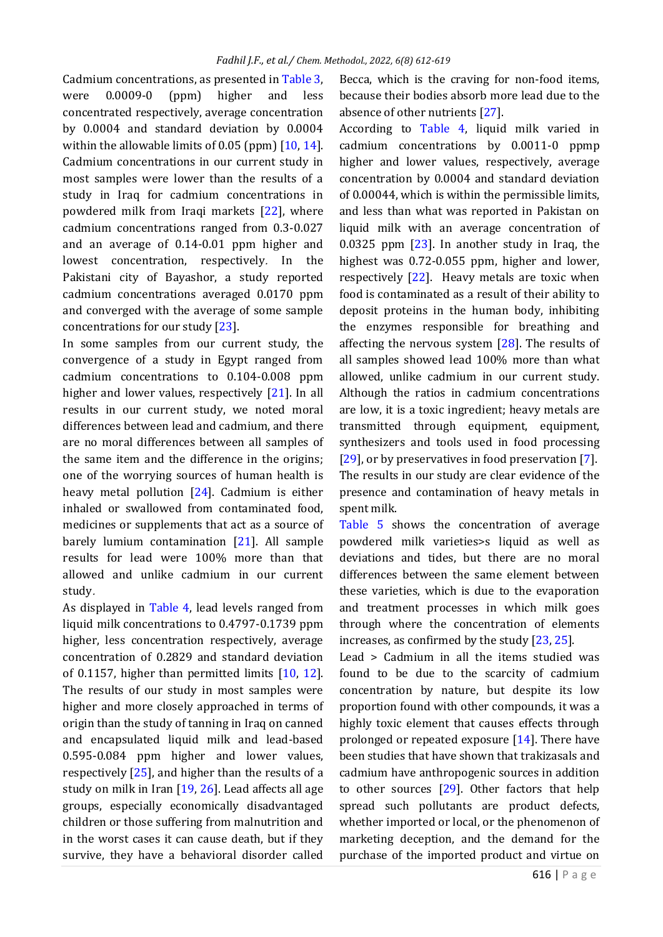Cadmium concentrations, as presented i[n Table 3,](#page-2-0)  were 0.0009-0 (ppm) higher and less concentrated respectively, average concentration by 0.0004 and standard deviation by 0.0004 within the allowable limits of 0.05 (ppm) [\[10,](#page-6-4) [14\]](#page-6-8). Cadmium concentrations in our current study in most samples were lower than the results of a study in Iraq for cadmium concentrations in powdered milk from Iraqi markets [\[22\]](#page-7-2), where cadmium concentrations ranged from 0.3-0.027 and an average of 0.14-0.01 ppm higher and lowest concentration, respectively. In the Pakistani city of Bayashor, a study reported cadmium concentrations averaged 0.0170 ppm and converged with the average of some sample concentrations for our study [\[23\]](#page-7-3).

In some samples from our current study, the convergence of a study in Egypt ranged from cadmium concentrations to 0.104-0.008 ppm higher and lower values, respectively [\[21\]](#page-7-1). In all results in our current study, we noted moral differences between lead and cadmium, and there are no moral differences between all samples of the same item and the difference in the origins; one of the worrying sources of human health is heavy metal pollution [\[24\]](#page-7-4). Cadmium is either inhaled or swallowed from contaminated food, medicines or supplements that act as a source of barely lumium contamination [\[21\]](#page-7-1). All sample results for lead were 100% more than that allowed and unlike cadmium in our current study.

As displayed in [Table 4,](#page-3-0) lead levels ranged from liquid milk concentrations to 0.4797-0.1739 ppm higher, less concentration respectively, average concentration of 0.2829 and standard deviation of 0.1157, higher than permitted limits [\[10,](#page-6-4) [12\]](#page-6-6). The results of our study in most samples were higher and more closely approached in terms of origin than the study of tanning in Iraq on canned and encapsulated liquid milk and lead-based 0.595-0.084 ppm higher and lower values, respectively [\[25\]](#page-7-5), and higher than the results of a study on milk in Iran [\[19,](#page-6-13) [26\]](#page-7-6). Lead affects all age groups, especially economically disadvantaged children or those suffering from malnutrition and in the worst cases it can cause death, but if they survive, they have a behavioral disorder called

Becca, which is the craving for non-food items, because their bodies absorb more lead due to the absence of other nutrients [\[27\]](#page-7-7).

According to [Table 4,](#page-3-0) liquid milk varied in cadmium concentrations by 0.0011-0 ppmp higher and lower values, respectively, average concentration by 0.0004 and standard deviation of 0.00044, which is within the permissible limits, and less than what was reported in Pakistan on liquid milk with an average concentration of 0.0325 ppm [\[23\]](#page-7-3). In another study in Iraq, the highest was 0.72-0.055 ppm, higher and lower, respectively [\[22\]](#page-7-2). Heavy metals are toxic when food is contaminated as a result of their ability to deposit proteins in the human body, inhibiting the enzymes responsible for breathing and affecting the nervous system  $[28]$ . The results of all samples showed lead 100% more than what allowed, unlike cadmium in our current study. Although the ratios in cadmium concentrations are low, it is a toxic ingredient; heavy metals are transmitted through equipment, equipment, synthesizers and tools used in food processing [\[29\]](#page-7-9), or by preservatives in food preservation [\[7\]](#page-6-1). The results in our study are clear evidence of the presence and contamination of heavy metals in spent milk.

[Table 5](#page-3-1) shows the concentration of average powdered milk varieties>s liquid as well as deviations and tides, but there are no moral differences between the same element between these varieties, which is due to the evaporation and treatment processes in which milk goes through where the concentration of elements increases, as confirmed by the study [\[23,](#page-7-3) [25\]](#page-7-5).

Lead > Cadmium in all the items studied was found to be due to the scarcity of cadmium concentration by nature, but despite its low proportion found with other compounds, it was a highly toxic element that causes effects through prolonged or repeated exposure [\[14\]](#page-6-8). There have been studies that have shown that trakizasals and cadmium have anthropogenic sources in addition to other sources [\[29\]](#page-7-9). Other factors that help spread such pollutants are product defects, whether imported or local, or the phenomenon of marketing deception, and the demand for the purchase of the imported product and virtue on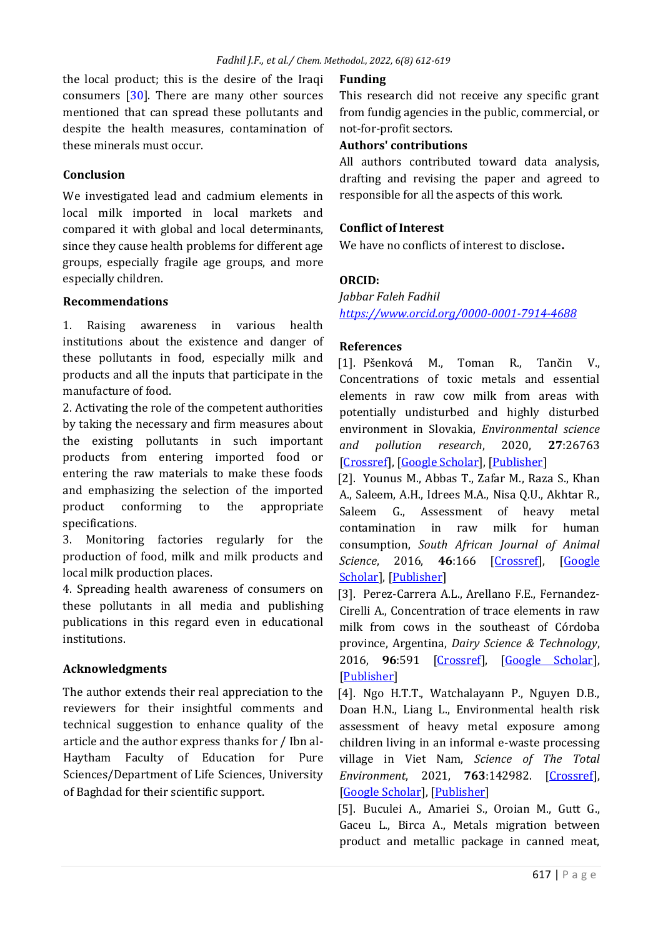the local product; this is the desire of the Iraqi consumers [\[30\]](#page-7-10). There are many other sources mentioned that can spread these pollutants and despite the health measures, contamination of these minerals must occur.

#### **Conclusion**

We investigated lead and cadmium elements in local milk imported in local markets and compared it with global and local determinants, since they cause health problems for different age groups, especially fragile age groups, and more especially children.

#### **Recommendations**

1. Raising awareness in various health institutions about the existence and danger of these pollutants in food, especially milk and products and all the inputs that participate in the manufacture of food.

2. Activating the role of the competent authorities by taking the necessary and firm measures about the existing pollutants in such important products from entering imported food or entering the raw materials to make these foods and emphasizing the selection of the imported product conforming to the appropriate specifications.

3. Monitoring factories regularly for the production of food, milk and milk products and local milk production places.

4. Spreading health awareness of consumers on these pollutants in all media and publishing publications in this regard even in educational institutions.

# **Acknowledgments**

The author extends their real appreciation to the reviewers for their insightful comments and technical suggestion to enhance quality of the article and the author express thanks for / Ibn al-Haytham Faculty of Education for Pure Sciences/Department of Life Sciences, University of Baghdad for their scientific support.

## **Funding**

This research did not receive any specific grant from fundig agencies in the public, commercial, or not-for-profit sectors.

# **Authors' contributions**

All authors contributed toward data analysis, drafting and revising the paper and agreed to responsible for all the aspects of this work.

## **Conflict of Interest**

We have no conflicts of interest to disclose**.**

# **ORCID:**

*Jabbar Faleh Fadhil <https://www.orcid.org/0000-0001-7914-4688>*

#### **References**

[1]. Pšenková M., Toman R., Tančin V., Concentrations of toxic metals and essential elements in raw cow milk from areas with potentially undisturbed and highly disturbed environment in Slovakia, *Environmental science and pollution research*, 2020, **27**:26763 [\[Crossref\]](https://doi.org/10.1007/s11356-020-09093-5), [\[Google Scholar\]](https://scholar.google.com/scholar?hl=de&as_sdt=0%2C5&q=Concentrations+of+toxic+metals+and+essential+elements+in+raw+cow+milk+from+areas+with+potentially+undisturbed+and+highly+disturbed+environment+in+Slovakia&btnG=), [\[Publisher\]](https://link.springer.com/article/10.1007/s11356-020-09093-5)

<span id="page-5-0"></span>[2]. Younus M., Abbas T., Zafar M., Raza S., Khan A., Saleem, A.H., Idrees M.A., Nisa Q.U., Akhtar R., Saleem G., Assessment of heavy metal contamination in raw milk for human consumption, *South African Journal of Animal Science*, 2016, **46**:166 [\[Crossref\]](https://doi.org/10.4314/sajas.v46i2.7), [\[Google](https://scholar.google.com/scholar?hl=de&as_sdt=0%2C5&q=Assessment+of+heavy+metal+contamination+in+raw+milk+for+human+consumption&btnG=)  [Scholar\]](https://scholar.google.com/scholar?hl=de&as_sdt=0%2C5&q=Assessment+of+heavy+metal+contamination+in+raw+milk+for+human+consumption&btnG=), [\[Publisher\]](https://www.ajol.info/index.php/sajas/article/view/137702)

<span id="page-5-1"></span>[3]. Perez-Carrera A.L., Arellano F.E., Fernandez-Cirelli A., Concentration of trace elements in raw milk from cows in the southeast of Córdoba province, Argentina, *Dairy Science & Technology*, 2016, **96**:591 [\[Crossref\]](https://doi.org/10.1007/s13594-016-0290-5), [\[Google Scholar\]](https://scholar.google.com/scholar?hl=de&as_sdt=0%2C5&q=Concentration+of+trace+elements+in+raw+milk+from+cows+in+the+southeast+of+C%C3%B3rdoba+province%2C+Argentina&btnG=), [\[Publisher\]](https://link.springer.com/article/10.1007/s13594-016-0290-5)

<span id="page-5-2"></span>[4]. Ngo H.T.T., Watchalayann P., Nguyen D.B., Doan H.N., Liang L., Environmental health risk assessment of heavy metal exposure among children living in an informal e-waste processing village in Viet Nam, *Science of The Total Environment*, 2021, **763**:142982. [\[Crossref\]](https://doi.org/10.1016/j.scitotenv.2020.142982), [\[Google Scholar\]](https://scholar.google.com/scholar?hl=de&as_sdt=0%2C5&q=Environmental+health+risk+assessment+of+heavy+metal+exposure+among+children+living+in+an+informal+e-waste+processing+village+in+Viet+Nam&btnG=), [\[Publisher\]](https://www.sciencedirect.com/science/article/abs/pii/S0048969720365128?via%3Dihub)

<span id="page-5-3"></span>[5]. Buculei A., Amariei S., Oroian M., Gutt G., Gaceu L., Birca A., Metals migration between product and metallic package in canned meat,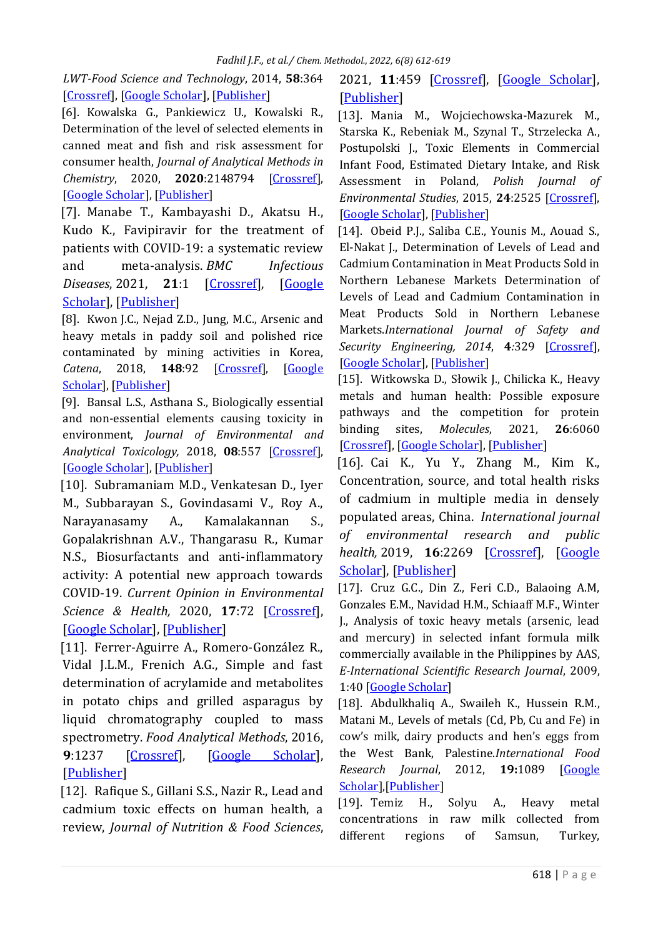*LWT-Food Science and Technology*, 2014, **58**:364 [\[Crossref\]](https://doi.org/10.1016/j.lwt.2013.06.003), [\[Google Scholar\]](https://scholar.google.com/scholar?hl=de&as_sdt=0%2C5&q=Metals+migration+between+product+and+metallic+package+in+canned+meat&btnG=), [\[Publisher\]](https://www.sciencedirect.com/science/article/pii/S0023643813002090?via%3Dihub)

<span id="page-6-0"></span>[6]. Kowalska G., Pankiewicz U., Kowalski R., Determination of the level of selected elements in canned meat and fish and risk assessment for consumer health, *Journal of Analytical Methods in Chemistry*, 2020, **2020**:2148794 [\[Crossref\]](https://doi.org/10.1155/2020/2148794), [\[Google Scholar\]](https://scholar.google.com/scholar?hl=de&as_sdt=0%2C5&q=Determination+of+the+Level+of+Selected+Elements+in+Canned+Meat+and+Fish+and+Risk+Assessment+for+Consumer+Health&btnG=), [\[Publisher\]](https://www.hindawi.com/journals/jamc/2020/2148794/)

<span id="page-6-1"></span>[7]. Manabe T., Kambayashi D., Akatsu H., Kudo K., Favipiravir for the treatment of patients with COVID-19: a systematic review and meta-analysis. *BMC Infectious Diseases*, 2021, **21**:1 [\[Crossref\]](https://doi.org/10.1186/s12879-021-06164-x), [\[Google](https://scholar.google.com/scholar?hl=en&as_sdt=0%2C5&q=Favipiravir+for+the+treatment+of+patients+with+COVID-19%3A+a+systematic+review+and+meta-analysis&btnG=)  [Scholar\]](https://scholar.google.com/scholar?hl=en&as_sdt=0%2C5&q=Favipiravir+for+the+treatment+of+patients+with+COVID-19%3A+a+systematic+review+and+meta-analysis&btnG=), [\[Publisher\]](https://bmcinfectdis.biomedcentral.com/articles/10.1186/s12879-021-06164-x)

<span id="page-6-2"></span>[8]. Kwon J.C., Nejad Z.D., Jung, M.C., Arsenic and heavy metals in paddy soil and polished rice contaminated by mining activities in Korea, *Catena*, 2018, **148**:92 [\[Crossref\]](https://doi.org/10.1016/j.catena.2016.01.005), [\[Google](https://scholar.google.com/scholar?hl=de&as_sdt=0%2C5&q=Arsenic+and+heavy+metals+in+paddy+soil+and+polished+rice+contaminated+by+mining+activities+in+Korea&btnG=)  [Scholar\]](https://scholar.google.com/scholar?hl=de&as_sdt=0%2C5&q=Arsenic+and+heavy+metals+in+paddy+soil+and+polished+rice+contaminated+by+mining+activities+in+Korea&btnG=), [\[Publisher\]](https://www.sciencedirect.com/science/article/abs/pii/S0341816216300054?via%3Dihub)

<span id="page-6-3"></span>[9]. Bansal L.S., Asthana S., Biologically essential and non-essential elements causing toxicity in environment, *Journal of Environmental and Analytical Toxicology,* 2018, **08**:557 [\[Crossref\]](https://doi.org/10.4172/2161-0525.1000557), [\[Google Scholar\]](https://scholar.google.com/scholar?hl=de&as_sdt=0%2C5&q=Biologically+Essential+and+Non-Essential+Elements+Causing+Toxicity+in+Environment&btnG=), [\[Publisher\]](https://www.hilarispublisher.com/open-access/biologically-essential-and-nonessential-elements-causing-toxicity-inenvironment-2161-0525-1000557.pdf)

<span id="page-6-4"></span>[10]. Subramaniam M.D., Venkatesan D., Iyer M., Subbarayan S., Govindasami V., Roy A., Narayanasamy A., Kamalakannan S., Gopalakrishnan A.V., Thangarasu R., Kumar N.S., Biosurfactants and anti-inflammatory activity: A potential new approach towards COVID-19. *Current Opinion in Environmental Science & Health,* 2020, **17**:72 [\[Crossref\]](https://doi.org/10.1016/j.coesh.2020.09.002), [\[Google Scholar\]](https://scholar.google.com/scholar?hl=en&as_sdt=0%2C5&q=Simple+and+Fast+Determination+of+Acrylamide+and+Metabolites+in+Potato+Chips+and+Grilled+Asparagus+by+Liquid+Chromatography+Coupled+to+Mass+Spectrometry&btnG=#d=gs_cit&t=1654860575505&u=%2Fscholar%3Fq%3Dinfo%3Aojkfv5y9bGEJ%3Ascholar.google.com%2F%26output%3Dcite%26scirp%3D0%26hl%3Den), [\[Publisher\]](https://www.sciencedirect.com/science/article/pii/S2468584420300593?via%3Dihub)

<span id="page-6-5"></span>[11]. Ferrer-Aguirre A., Romero-González R., Vidal J.L.M., Frenich A.G., Simple and fast determination of acrylamide and metabolites in potato chips and grilled asparagus by liquid chromatography coupled to mass spectrometry. *Food Analytical Methods*, 2016, **9**:1237 [\[Crossref\]](https://doi.org/10.1007/s12161-015-0304-6), [\[Google Scholar\]](https://scholar.google.com/scholar?hl=en&as_sdt=0%2C5&q=Biosurfactants+and+anti-inflammatory+activity%3A+A+potential+new+approach+towards+COVID-19&btnG=), [\[Publisher\]](https://link.springer.com/article/10.1007/s12161-015-0304-6)

<span id="page-6-6"></span>[12]. Rafique S., Gillani S.S., Nazir R., Lead and cadmium toxic effects on human health, a review, *Journal of Nutrition & Food Sciences*, 2021, **11**:459 [\[Crossref\]](https://doi.org/10.35248/2155-9600.21.s9.1000829), [\[Google Scholar\]](https://scholar.google.com/scholar?hl=en&as_sdt=0%2C5&q=Biosurfactants+and+anti-inflammatory+activity%3A+A+potential+new+approach+towards+COVID-19&btnG=), [\[Publisher\]](https://www.longdom.org/open-access/lead-and-cadmium-toxic-effects-on-human-health-a-review-87204.html)

<span id="page-6-7"></span>[13]. Mania M., Wojciechowska-Mazurek M., Starska K., Rebeniak M., Szynal T., Strzelecka A., Postupolski J., Toxic Elements in Commercial Infant Food, Estimated Dietary Intake, and Risk Assessment in Poland, *Polish Journal of Environmental Studies*, 2015, **24**:2525 [\[Crossref\]](https://doi.org/10.15244/pjoes/59306), [\[Google Scholar\]](https://scholar.google.com/scholar?hl=de&as_sdt=0%2C5&q=Toxic+Elements+in+Commercial+Infant+Food%2C+Estimated+Dietary+Intake%2C+and+Risk+Assessment+in+Poland&btnG=), [\[Publisher\]](https://www.iieta.org/journals/ijsse/paper/10.2495/SAFE-V4-N4-329-344)

<span id="page-6-8"></span>[14]. Obeid P.J., Saliba C.E., Younis M., Aouad S., El-Nakat J., Determination of Levels of Lead and Cadmium Contamination in Meat Products Sold in Northern Lebanese Markets Determination of Levels of Lead and Cadmium Contamination in Meat Products Sold in Northern Lebanese Markets.*International Journal of Safety and Security Engineering, 2014*, **4***:*329 [\[Crossref\]](https://doi.org/10.2495/SAFE-V4-N4-329-344), [\[Google Scholar\]](https://scholar.google.com/scholar?hl=en&as_sdt=0%2C5&q=Determination+of+Levels+of+Lead+and+Cadmium+Contamination+in+Meat+Products+Sold+in+Northern+Lebanese+Markets+Determination+of+Levels+of+Lead+and+Cadmium&btnG=#d=gs_cit&t=1654861053452&u=%2Fscholar%3Fq%3Dinfo%3A8hVcnbtTRiUJ%3Ascholar.google.com%2F%26output%3Dcite%26scirp%3D1%26hl%3Den), [\[Publisher\]](http://www.pjoes.com/Toxic-Elements-in-Commercial-Infant-Food-Estimated-Dietary-Intake-and-Risk-Assessment-in-Poland,59306,0,2.html)

<span id="page-6-9"></span>[15]. Witkowska D., Słowik J., Chilicka K., Heavy metals and human health: Possible exposure pathways and the competition for protein binding sites, *Molecules*, 2021, **26**:6060 [\[Crossref\]](https://doi.org/10.3390/molecules26196060), [\[Google Scholar\]](https://scholar.google.com/scholar?hl=de&as_sdt=0%2C5&q=Heavy+Metals+and+Human+Health%3A+Possible+Exposure+Pathways+and+the+Competition+for+Protein+Binding+Sites&btnG=), [\[Publisher\]](https://www.mdpi.com/1420-3049/26/19/6060)

<span id="page-6-10"></span>[16]. Cai K., Yu Y., Zhang M., Kim K., Concentration, source, and total health risks of cadmium in multiple media in densely populated areas, China. *International journal of environmental research and public health,* 2019, **16**:2269 [\[Crossref\]](https://doi.org/10.3390/ijerph16132269), [\[Google](https://scholar.google.com/scholar?hl=en&as_sdt=0%2C5&q=Concentration%2C+Source%2C+and+Total+Health+Risks+of+Cadmium+in+Multiple+Media+in+Densely+Populated+Areas%2C+China&btnG=)  [Scholar\]](https://scholar.google.com/scholar?hl=en&as_sdt=0%2C5&q=Concentration%2C+Source%2C+and+Total+Health+Risks+of+Cadmium+in+Multiple+Media+in+Densely+Populated+Areas%2C+China&btnG=), [\[Publisher\]](https://www.mdpi.com/1660-4601/16/13/2269)

<span id="page-6-11"></span>[17]. Cruz G.C., Din Z., Feri C.D., Balaoing A.M, Gonzales E.M., Navidad H.M., Schiaaff M.F., Winter J., Analysis of toxic heavy metals (arsenic, lead and mercury) in selected infant formula milk commercially available in the Philippines by AAS, *E-International Scientific Research Journal*, 2009, 1:40 [\[Google Scholar\]](https://scholar.google.com/scholar?hl=de&as_sdt=0%2C5&q=Analysis+of+toxic+heavy+metals+%28arsenic%2C+Lead%2C+and+mercury%29+in+selected+infant+Formula+milk+Commercially+available+in+the+Philippines+by+aas.+E-+Inter&btnG=)

<span id="page-6-12"></span>[18]. Abdulkhaliq A., Swaileh K., Hussein R.M., Matani M., Levels of metals (Cd, Pb, Cu and Fe) in cow's milk, dairy products and hen's eggs from the West Bank, Palestine.*International Food Research Journal*, 2012, **19:**1089 [\[Google](https://scholar.google.com/scholar?hl=en&as_sdt=0%2C5&q=Levels+of+metals+%28Cd%2C+Pb%2C+Cu+and+Fe%29+in+cow%27s+milk%2C+dairy+products+and+hen%27s+eggs+from+the+West+Bank%2C+Palestine&btnG=#d=gs_cit&t=1654861293258&u=%2Fscholar%3Fq%3Dinfo%3Ae02ZDRSQWhUJ%3Ascholar.google.com%2F%26output%3Dcite%26scirp%3D0%26hl%3Den)  [Scholar\]](https://scholar.google.com/scholar?hl=en&as_sdt=0%2C5&q=Levels+of+metals+%28Cd%2C+Pb%2C+Cu+and+Fe%29+in+cow%27s+milk%2C+dairy+products+and+hen%27s+eggs+from+the+West+Bank%2C+Palestine&btnG=#d=gs_cit&t=1654861293258&u=%2Fscholar%3Fq%3Dinfo%3Ae02ZDRSQWhUJ%3Ascholar.google.com%2F%26output%3Dcite%26scirp%3D0%26hl%3Den),[\[Publisher\]](https://search.proquest.com/docview/1315524573)

<span id="page-6-13"></span>[19]. Temiz H., Solyu A., Heavy metal concentrations in raw milk collected from different regions of Samsun, Turkey,